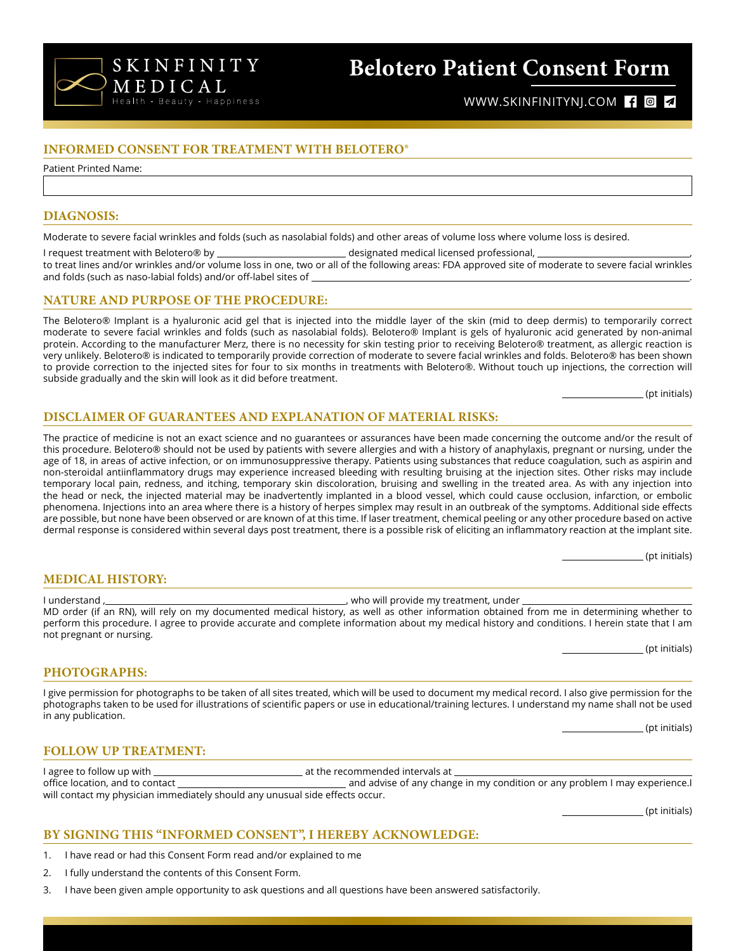

## **Belotero Patient Consent Form**

WWW.SKINFINITYNJ.COM **104** 

## **INFORMED CONSENT FOR TREATMENT WITH BELOTERO®**

Patient Printed Name:

#### **DIAGNOSIS:**

Moderate to severe facial wrinkles and folds (such as nasolabial folds) and other areas of volume loss where volume loss is desired.

I request treatment with Belotero® by \_\_\_\_\_\_\_\_\_\_\_\_\_\_\_\_\_\_\_\_\_\_\_\_\_\_\_\_designated medical licensed professional, \_

to treat lines and/or wrinkles and/or volume loss in one, two or all of the following areas: FDA approved site of moderate to severe facial wrinkles and folds (such as naso-labial folds) and/or off-label sites of \_

## **NATURE AND PURPOSE OF THE PROCEDURE:**

The Belotero® Implant is a hyaluronic acid gel that is injected into the middle layer of the skin (mid to deep dermis) to temporarily correct moderate to severe facial wrinkles and folds (such as nasolabial folds). Belotero® Implant is gels of hyaluronic acid generated by non-animal protein. According to the manufacturer Merz, there is no necessity for skin testing prior to receiving Belotero® treatment, as allergic reaction is very unlikely. Belotero® is indicated to temporarily provide correction of moderate to severe facial wrinkles and folds. Belotero® has been shown to provide correction to the injected sites for four to six months in treatments with Belotero®. Without touch up injections, the correction will subside gradually and the skin will look as it did before treatment.

(pt initials)

## **DISCLAIMER OF GUARANTEES AND EXPLANATION OF MATERIAL RISKS:**

The practice of medicine is not an exact science and no guarantees or assurances have been made concerning the outcome and/or the result of this procedure. Belotero® should not be used by patients with severe allergies and with a history of anaphylaxis, pregnant or nursing, under the age of 18, in areas of active infection, or on immunosuppressive therapy. Patients using substances that reduce coagulation, such as aspirin and non-steroidal antiinflammatory drugs may experience increased bleeding with resulting bruising at the injection sites. Other risks may include temporary local pain, redness, and itching, temporary skin discoloration, bruising and swelling in the treated area. As with any injection into the head or neck, the injected material may be inadvertently implanted in a blood vessel, which could cause occlusion, infarction, or embolic phenomena. Injections into an area where there is a history of herpes simplex may result in an outbreak of the symptoms. Additional side effects are possible, but none have been observed or are known of at this time. If laser treatment, chemical peeling or any other procedure based on active dermal response is considered within several days post treatment, there is a possible risk of eliciting an inflammatory reaction at the implant site.

(pt initials)

(pt initials)

(pt initials)

#### **MEDICAL HISTORY:**

I understand , , who will provide my treatment, under MD order (if an RN), will rely on my documented medical history, as well as other information obtained from me in determining whether to perform this procedure. I agree to provide accurate and complete information about my medical history and conditions. I herein state that I am not pregnant or nursing.

#### **PHOTOGRAPHS:**

I give permission for photographs to be taken of all sites treated, which will be used to document my medical record. I also give permission for the photographs taken to be used for illustrations of scientific papers or use in educational/training lectures. I understand my name shall not be used in any publication.

#### **FOLLOW UP TREATMENT:**

| I agree to follow up with       | at the recommended intervals at                                              |
|---------------------------------|------------------------------------------------------------------------------|
| office location, and to contact | and advise of any change in my condition or any problem I may experience.I   |
|                                 | will contact my physician immediately should any unusual side effects occur. |

(pt initials)

## **BY SIGNING THIS "INFORMED CONSENT", I HEREBY ACKNOWLEDGE:**

- 1. I have read or had this Consent Form read and/or explained to me
- 2. I fully understand the contents of this Consent Form.
- 3. I have been given ample opportunity to ask questions and all questions have been answered satisfactorily.